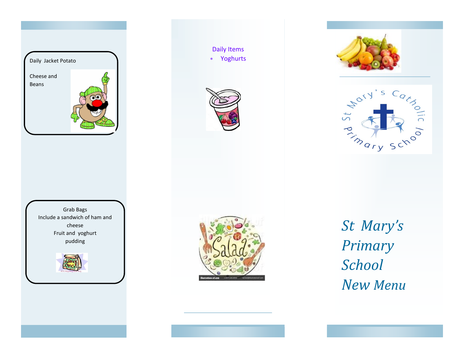





Daily Items Yoghurts









*St Mary's Primary School New Menu*